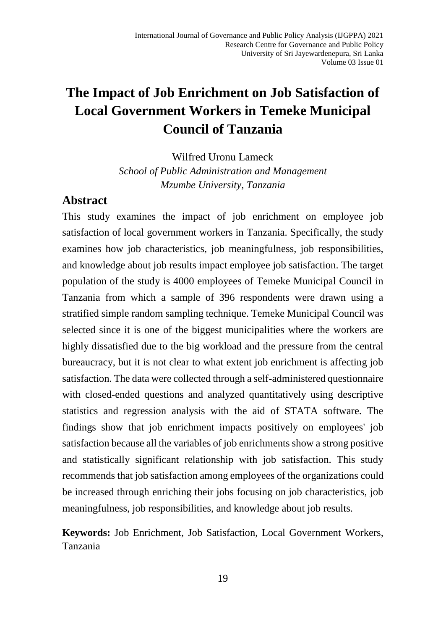# **The Impact of Job Enrichment on Job Satisfaction of Local Government Workers in Temeke Municipal Council of Tanzania**

Wilfred Uronu Lameck

*School of Public Administration and Management Mzumbe University, Tanzania*

### **Abstract**

This study examines the impact of job enrichment on employee job satisfaction of local government workers in Tanzania. Specifically, the study examines how job characteristics, job meaningfulness, job responsibilities, and knowledge about job results impact employee job satisfaction. The target population of the study is 4000 employees of Temeke Municipal Council in Tanzania from which a sample of 396 respondents were drawn using a stratified simple random sampling technique. Temeke Municipal Council was selected since it is one of the biggest municipalities where the workers are highly dissatisfied due to the big workload and the pressure from the central bureaucracy, but it is not clear to what extent job enrichment is affecting job satisfaction. The data were collected through a self-administered questionnaire with closed-ended questions and analyzed quantitatively using descriptive statistics and regression analysis with the aid of STATA software. The findings show that job enrichment impacts positively on employees' job satisfaction because all the variables of job enrichments show a strong positive and statistically significant relationship with job satisfaction. This study recommends that job satisfaction among employees of the organizations could be increased through enriching their jobs focusing on job characteristics, job meaningfulness, job responsibilities, and knowledge about job results.

**Keywords:** Job Enrichment, Job Satisfaction, Local Government Workers, Tanzania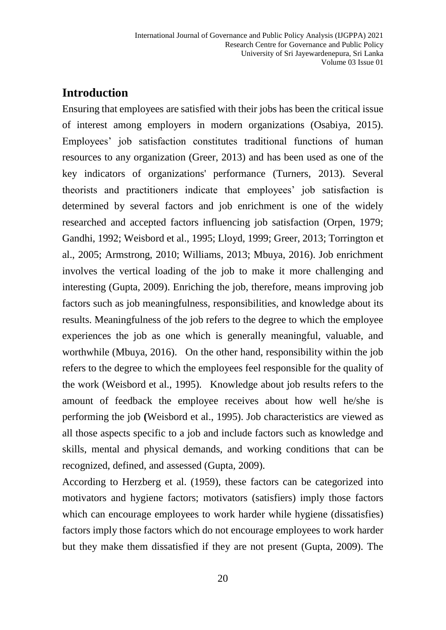# **Introduction**

Ensuring that employees are satisfied with their jobs has been the critical issue of interest among employers in modern organizations (Osabiya, 2015). Employees' job satisfaction constitutes traditional functions of human resources to any organization (Greer, 2013) and has been used as one of the key indicators of organizations' performance (Turners, 2013). Several theorists and practitioners indicate that employees' job satisfaction is determined by several factors and job enrichment is one of the widely researched and accepted factors influencing job satisfaction (Orpen, 1979; Gandhi, 1992; Weisbord et al., 1995; Lloyd, 1999; Greer, 2013; Torrington et al., 2005; Armstrong, 2010; Williams, 2013; Mbuya, 2016). Job enrichment involves the vertical loading of the job to make it more challenging and interesting (Gupta, 2009). Enriching the job, therefore, means improving job factors such as job meaningfulness, responsibilities, and knowledge about its results. Meaningfulness of the job refers to the degree to which the employee experiences the job as one which is generally meaningful, valuable, and worthwhile (Mbuya, 2016). On the other hand, responsibility within the job refers to the degree to which the employees feel responsible for the quality of the work (Weisbord et al., 1995). Knowledge about job results refers to the amount of feedback the employee receives about how well he/she is performing the job **(**Weisbord et al., 1995). Job characteristics are viewed as all those aspects specific to a job and include factors such as knowledge and skills, mental and physical demands, and working conditions that can be recognized, defined, and assessed (Gupta, 2009).

According to Herzberg et al. (1959), these factors can be categorized into motivators and hygiene factors; motivators (satisfiers) imply those factors which can encourage employees to work harder while hygiene (dissatisfies) factors imply those factors which do not encourage employees to work harder but they make them dissatisfied if they are not present (Gupta, 2009). The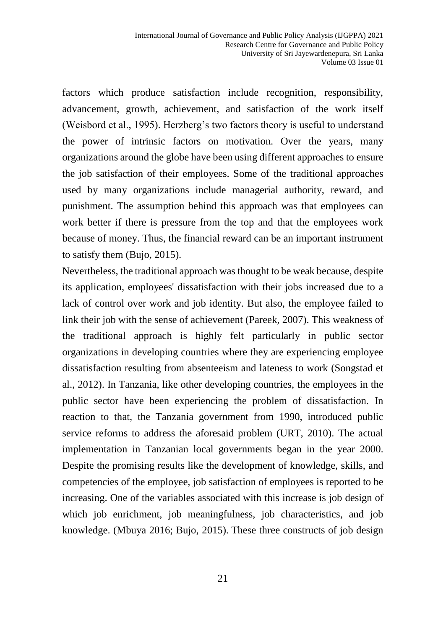factors which produce satisfaction include recognition, responsibility, advancement, growth, achievement, and satisfaction of the work itself (Weisbord et al., 1995). Herzberg's two factors theory is useful to understand the power of intrinsic factors on motivation. Over the years, many organizations around the globe have been using different approaches to ensure the job satisfaction of their employees. Some of the traditional approaches used by many organizations include managerial authority, reward, and punishment. The assumption behind this approach was that employees can work better if there is pressure from the top and that the employees work because of money. Thus, the financial reward can be an important instrument to satisfy them (Bujo, 2015).

Nevertheless, the traditional approach was thought to be weak because, despite its application, employees' dissatisfaction with their jobs increased due to a lack of control over work and job identity. But also, the employee failed to link their job with the sense of achievement (Pareek, 2007). This weakness of the traditional approach is highly felt particularly in public sector organizations in developing countries where they are experiencing employee dissatisfaction resulting from absenteeism and lateness to work (Songstad et al., 2012). In Tanzania, like other developing countries, the employees in the public sector have been experiencing the problem of dissatisfaction. In reaction to that, the Tanzania government from 1990, introduced public service reforms to address the aforesaid problem (URT, 2010). The actual implementation in Tanzanian local governments began in the year 2000. Despite the promising results like the development of knowledge, skills, and competencies of the employee, job satisfaction of employees is reported to be increasing. One of the variables associated with this increase is job design of which job enrichment, job meaningfulness, job characteristics, and job knowledge. (Mbuya 2016; Bujo, 2015). These three constructs of job design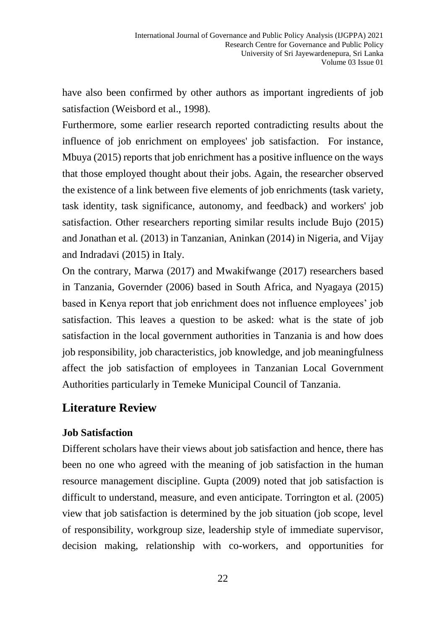have also been confirmed by other authors as important ingredients of job satisfaction (Weisbord et al., 1998).

Furthermore, some earlier research reported contradicting results about the influence of job enrichment on employees' job satisfaction. For instance, Mbuya (2015) reports that job enrichment has a positive influence on the ways that those employed thought about their jobs. Again, the researcher observed the existence of a link between five elements of job enrichments (task variety, task identity, task significance, autonomy, and feedback) and workers' job satisfaction. Other researchers reporting similar results include Bujo (2015) and Jonathan et al*.* (2013) in Tanzanian, Aninkan (2014) in Nigeria, and Vijay and Indradavi (2015) in Italy.

On the contrary, Marwa (2017) and Mwakifwange (2017) researchers based in Tanzania, Governder (2006) based in South Africa, and Nyagaya (2015) based in Kenya report that job enrichment does not influence employees' job satisfaction. This leaves a question to be asked: what is the state of job satisfaction in the local government authorities in Tanzania is and how does job responsibility, job characteristics, job knowledge, and job meaningfulness affect the job satisfaction of employees in Tanzanian Local Government Authorities particularly in Temeke Municipal Council of Tanzania.

## **Literature Review**

#### **Job Satisfaction**

Different scholars have their views about job satisfaction and hence, there has been no one who agreed with the meaning of job satisfaction in the human resource management discipline. Gupta (2009) noted that job satisfaction is difficult to understand, measure, and even anticipate. Torrington et al*.* (2005) view that job satisfaction is determined by the job situation (job scope, level of responsibility, workgroup size, leadership style of immediate supervisor, decision making, relationship with co-workers, and opportunities for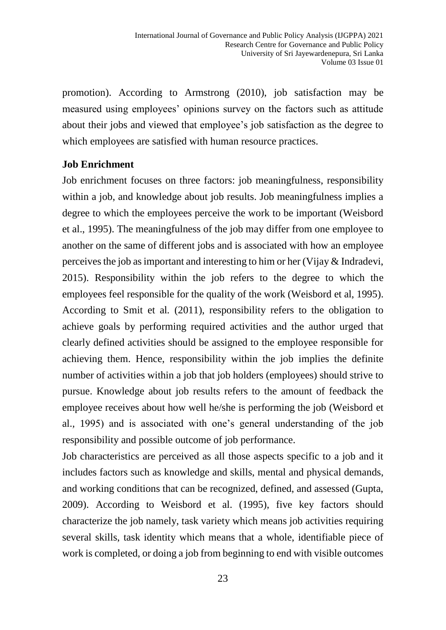promotion). According to Armstrong (2010), job satisfaction may be measured using employees' opinions survey on the factors such as attitude about their jobs and viewed that employee's job satisfaction as the degree to which employees are satisfied with human resource practices.

#### **Job Enrichment**

Job enrichment focuses on three factors: job meaningfulness, responsibility within a job, and knowledge about job results. Job meaningfulness implies a degree to which the employees perceive the work to be important (Weisbord et al., 1995). The meaningfulness of the job may differ from one employee to another on the same of different jobs and is associated with how an employee perceives the job as important and interesting to him or her (Vijay & Indradevi, 2015). Responsibility within the job refers to the degree to which the employees feel responsible for the quality of the work (Weisbord et al, 1995). According to Smit et al*.* (2011), responsibility refers to the obligation to achieve goals by performing required activities and the author urged that clearly defined activities should be assigned to the employee responsible for achieving them. Hence, responsibility within the job implies the definite number of activities within a job that job holders (employees) should strive to pursue. Knowledge about job results refers to the amount of feedback the employee receives about how well he/she is performing the job (Weisbord et al.*,* 1995) and is associated with one's general understanding of the job responsibility and possible outcome of job performance.

Job characteristics are perceived as all those aspects specific to a job and it includes factors such as knowledge and skills, mental and physical demands, and working conditions that can be recognized, defined, and assessed (Gupta, 2009). According to Weisbord et al. (1995), five key factors should characterize the job namely, task variety which means job activities requiring several skills, task identity which means that a whole, identifiable piece of work is completed, or doing a job from beginning to end with visible outcomes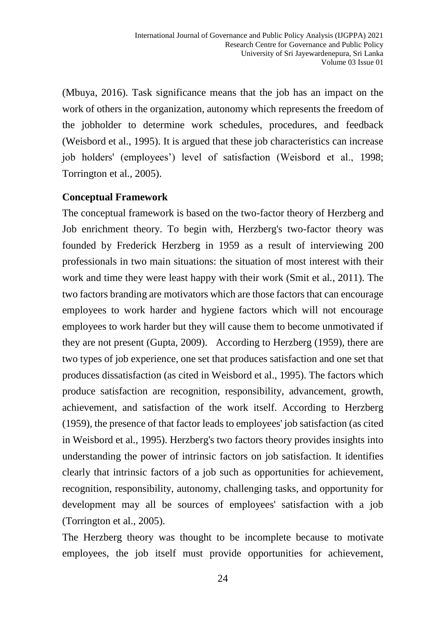(Mbuya, 2016). Task significance means that the job has an impact on the work of others in the organization, autonomy which represents the freedom of the jobholder to determine work schedules, procedures, and feedback (Weisbord et al., 1995). It is argued that these job characteristics can increase job holders' (employees') level of satisfaction (Weisbord et al., 1998; Torrington et al., 2005).

#### **Conceptual Framework**

The conceptual framework is based on the two-factor theory of Herzberg and Job enrichment theory. To begin with, Herzberg's two-factor theory was founded by Frederick Herzberg in 1959 as a result of interviewing 200 professionals in two main situations: the situation of most interest with their work and time they were least happy with their work (Smit et al*.,* 2011). The two factors branding are motivators which are those factors that can encourage employees to work harder and hygiene factors which will not encourage employees to work harder but they will cause them to become unmotivated if they are not present (Gupta, 2009). According to Herzberg (1959), there are two types of job experience, one set that produces satisfaction and one set that produces dissatisfaction (as cited in Weisbord et al., 1995). The factors which produce satisfaction are recognition, responsibility, advancement, growth, achievement, and satisfaction of the work itself. According to Herzberg (1959), the presence of that factor leads to employees' job satisfaction (as cited in Weisbord et al., 1995). Herzberg's two factors theory provides insights into understanding the power of intrinsic factors on job satisfaction. It identifies clearly that intrinsic factors of a job such as opportunities for achievement, recognition, responsibility, autonomy, challenging tasks, and opportunity for development may all be sources of employees' satisfaction with a job (Torrington et al., 2005).

The Herzberg theory was thought to be incomplete because to motivate employees, the job itself must provide opportunities for achievement,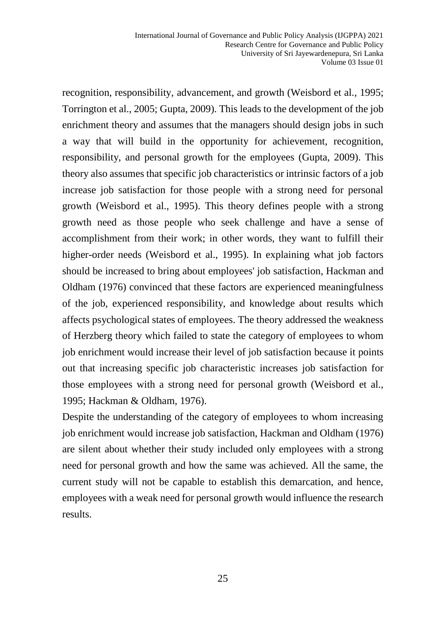recognition, responsibility, advancement, and growth (Weisbord et al.*,* 1995; Torrington et al., 2005; Gupta, 2009). This leads to the development of the job enrichment theory and assumes that the managers should design jobs in such a way that will build in the opportunity for achievement, recognition, responsibility, and personal growth for the employees (Gupta, 2009). This theory also assumes that specific job characteristics or intrinsic factors of a job increase job satisfaction for those people with a strong need for personal growth (Weisbord et al., 1995). This theory defines people with a strong growth need as those people who seek challenge and have a sense of accomplishment from their work; in other words, they want to fulfill their higher-order needs (Weisbord et al., 1995). In explaining what job factors should be increased to bring about employees' job satisfaction, Hackman and Oldham (1976) convinced that these factors are experienced meaningfulness of the job, experienced responsibility, and knowledge about results which affects psychological states of employees. The theory addressed the weakness of Herzberg theory which failed to state the category of employees to whom job enrichment would increase their level of job satisfaction because it points out that increasing specific job characteristic increases job satisfaction for those employees with a strong need for personal growth (Weisbord et al., 1995; Hackman & Oldham, 1976).

Despite the understanding of the category of employees to whom increasing job enrichment would increase job satisfaction, Hackman and Oldham (1976) are silent about whether their study included only employees with a strong need for personal growth and how the same was achieved. All the same, the current study will not be capable to establish this demarcation, and hence, employees with a weak need for personal growth would influence the research results.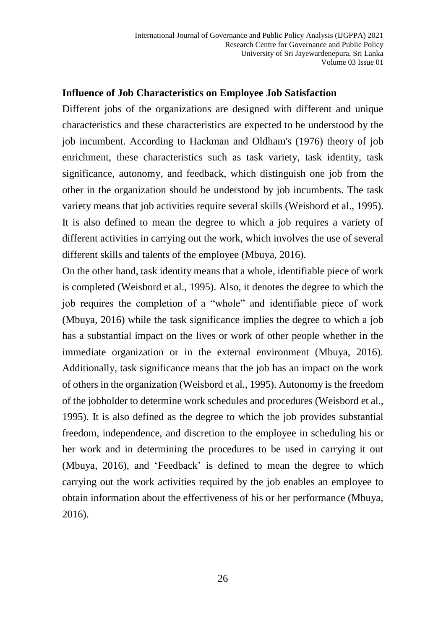#### **Influence of Job Characteristics on Employee Job Satisfaction**

Different jobs of the organizations are designed with different and unique characteristics and these characteristics are expected to be understood by the job incumbent. According to Hackman and Oldham's (1976) theory of job enrichment, these characteristics such as task variety, task identity, task significance, autonomy, and feedback, which distinguish one job from the other in the organization should be understood by job incumbents. The task variety means that job activities require several skills (Weisbord et al., 1995). It is also defined to mean the degree to which a job requires a variety of different activities in carrying out the work, which involves the use of several different skills and talents of the employee (Mbuya, 2016).

On the other hand, task identity means that a whole, identifiable piece of work is completed (Weisbord et al., 1995). Also, it denotes the degree to which the job requires the completion of a "whole" and identifiable piece of work (Mbuya, 2016) while the task significance implies the degree to which a job has a substantial impact on the lives or work of other people whether in the immediate organization or in the external environment (Mbuya, 2016). Additionally, task significance means that the job has an impact on the work of others in the organization (Weisbord et al., 1995). Autonomy is the freedom of the jobholder to determine work schedules and procedures (Weisbord et al., 1995). It is also defined as the degree to which the job provides substantial freedom, independence, and discretion to the employee in scheduling his or her work and in determining the procedures to be used in carrying it out (Mbuya, 2016), and 'Feedback' is defined to mean the degree to which carrying out the work activities required by the job enables an employee to obtain information about the effectiveness of his or her performance (Mbuya, 2016).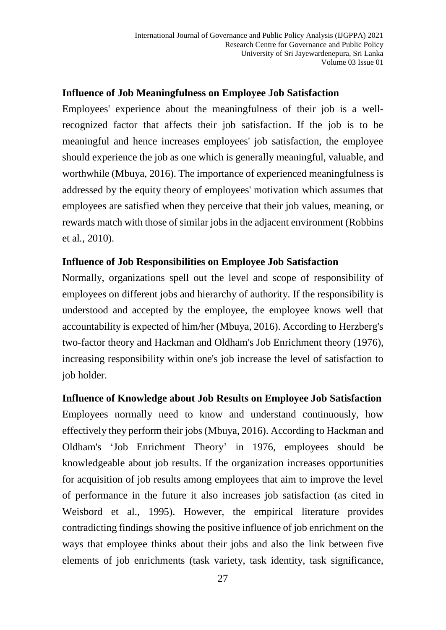#### **Influence of Job Meaningfulness on Employee Job Satisfaction**

Employees' experience about the meaningfulness of their job is a wellrecognized factor that affects their job satisfaction. If the job is to be meaningful and hence increases employees' job satisfaction, the employee should experience the job as one which is generally meaningful, valuable, and worthwhile (Mbuya, 2016). The importance of experienced meaningfulness is addressed by the equity theory of employees' motivation which assumes that employees are satisfied when they perceive that their job values, meaning, or rewards match with those of similar jobs in the adjacent environment (Robbins et al*.,* 2010).

#### **Influence of Job Responsibilities on Employee Job Satisfaction**

Normally, organizations spell out the level and scope of responsibility of employees on different jobs and hierarchy of authority. If the responsibility is understood and accepted by the employee, the employee knows well that accountability is expected of him/her (Mbuya, 2016). According to Herzberg's two-factor theory and Hackman and Oldham's Job Enrichment theory (1976), increasing responsibility within one's job increase the level of satisfaction to job holder.

#### **Influence of Knowledge about Job Results on Employee Job Satisfaction**

Employees normally need to know and understand continuously, how effectively they perform their jobs (Mbuya, 2016). According to Hackman and Oldham's 'Job Enrichment Theory' in 1976, employees should be knowledgeable about job results. If the organization increases opportunities for acquisition of job results among employees that aim to improve the level of performance in the future it also increases job satisfaction (as cited in Weisbord et al., 1995). However, the empirical literature provides contradicting findings showing the positive influence of job enrichment on the ways that employee thinks about their jobs and also the link between five elements of job enrichments (task variety, task identity, task significance,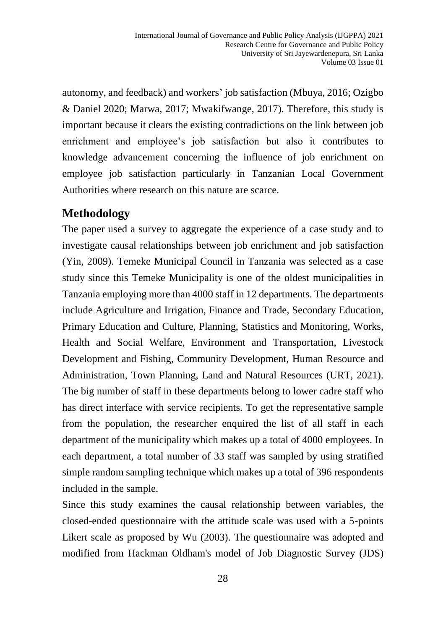autonomy, and feedback) and workers' job satisfaction (Mbuya, 2016; Ozigbo & Daniel 2020; Marwa, 2017; Mwakifwange, 2017). Therefore, this study is important because it clears the existing contradictions on the link between job enrichment and employee's job satisfaction but also it contributes to knowledge advancement concerning the influence of job enrichment on employee job satisfaction particularly in Tanzanian Local Government Authorities where research on this nature are scarce.

# **Methodology**

The paper used a survey to aggregate the experience of a case study and to investigate causal relationships between job enrichment and job satisfaction (Yin, 2009). Temeke Municipal Council in Tanzania was selected as a case study since this Temeke Municipality is one of the oldest municipalities in Tanzania employing more than 4000 staff in 12 departments. The departments include Agriculture and Irrigation, Finance and Trade, Secondary Education, Primary Education and Culture, Planning, Statistics and Monitoring, Works, Health and Social Welfare, Environment and Transportation, Livestock Development and Fishing, Community Development, Human Resource and Administration, Town Planning, Land and Natural Resources (URT, 2021). The big number of staff in these departments belong to lower cadre staff who has direct interface with service recipients. To get the representative sample from the population, the researcher enquired the list of all staff in each department of the municipality which makes up a total of 4000 employees. In each department, a total number of 33 staff was sampled by using stratified simple random sampling technique which makes up a total of 396 respondents included in the sample.

Since this study examines the causal relationship between variables, the closed-ended questionnaire with the attitude scale was used with a 5-points Likert scale as proposed by Wu (2003). The questionnaire was adopted and modified from Hackman Oldham's model of Job Diagnostic Survey (JDS)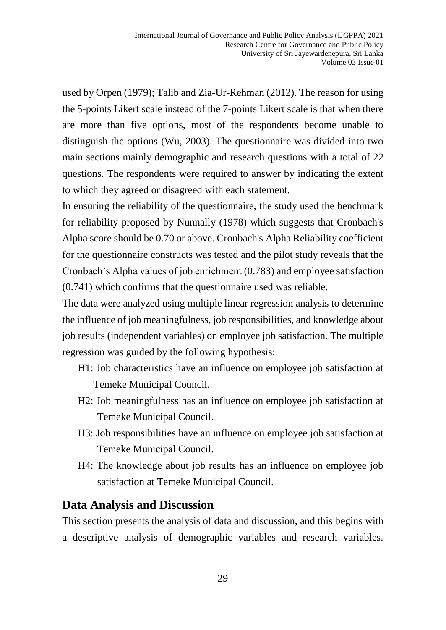used by Orpen (1979); Talib and Zia-Ur-Rehman (2012). The reason for using the 5-points Likert scale instead of the 7-points Likert scale is that when there are more than five options, most of the respondents become unable to distinguish the options (Wu, 2003). The questionnaire was divided into two main sections mainly demographic and research questions with a total of 22 questions. The respondents were required to answer by indicating the extent to which they agreed or disagreed with each statement.

In ensuring the reliability of the questionnaire, the study used the benchmark for reliability proposed by Nunnally (1978) which suggests that Cronbach's Alpha score should be 0.70 or above. Cronbach's Alpha Reliability coefficient for the questionnaire constructs was tested and the pilot study reveals that the Cronbach's Alpha values of job enrichment (0.783) and employee satisfaction (0.741) which confirms that the questionnaire used was reliable.

The data were analyzed using multiple linear regression analysis to determine the influence of job meaningfulness, job responsibilities, and knowledge about job results (independent variables) on employee job satisfaction. The multiple regression was guided by the following hypothesis:

- H1: Job characteristics have an influence on employee job satisfaction at Temeke Municipal Council.
- H2: Job meaningfulness has an influence on employee job satisfaction at Temeke Municipal Council.
- H3: Job responsibilities have an influence on employee job satisfaction at Temeke Municipal Council.
- H4: The knowledge about job results has an influence on employee job satisfaction at Temeke Municipal Council.

### **Data Analysis and Discussion**

This section presents the analysis of data and discussion, and this begins with a descriptive analysis of demographic variables and research variables.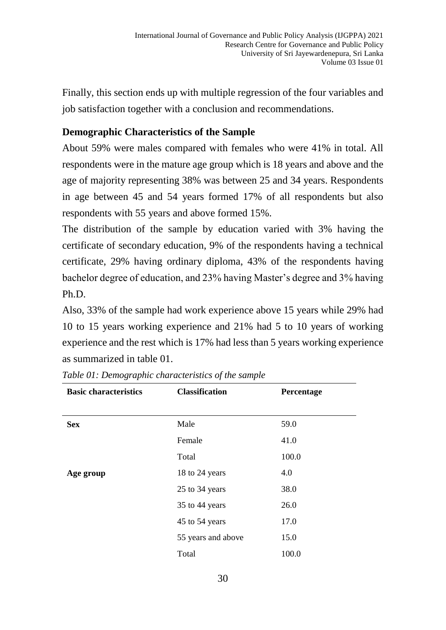Finally, this section ends up with multiple regression of the four variables and job satisfaction together with a conclusion and recommendations.

### **Demographic Characteristics of the Sample**

About 59% were males compared with females who were 41% in total. All respondents were in the mature age group which is 18 years and above and the age of majority representing 38% was between 25 and 34 years. Respondents in age between 45 and 54 years formed 17% of all respondents but also respondents with 55 years and above formed 15%.

The distribution of the sample by education varied with 3% having the certificate of secondary education, 9% of the respondents having a technical certificate, 29% having ordinary diploma, 43% of the respondents having bachelor degree of education, and 23% having Master's degree and 3% having Ph.D.

Also, 33% of the sample had work experience above 15 years while 29% had 10 to 15 years working experience and 21% had 5 to 10 years of working experience and the rest which is 17% had less than 5 years working experience as summarized in table 01.

| <b>Basic characteristics</b> | <b>Classification</b> | Percentage |
|------------------------------|-----------------------|------------|
|                              |                       |            |
| <b>Sex</b>                   | Male                  | 59.0       |
|                              | Female                | 41.0       |
|                              | Total                 | 100.0      |
| Age group                    | 18 to 24 years        | 4.0        |
|                              | 25 to 34 years        | 38.0       |
|                              | 35 to 44 years        | 26.0       |
|                              | 45 to 54 years        | 17.0       |
|                              | 55 years and above    | 15.0       |
|                              | Total                 | 100.0      |

*Table 01: Demographic characteristics of the sample*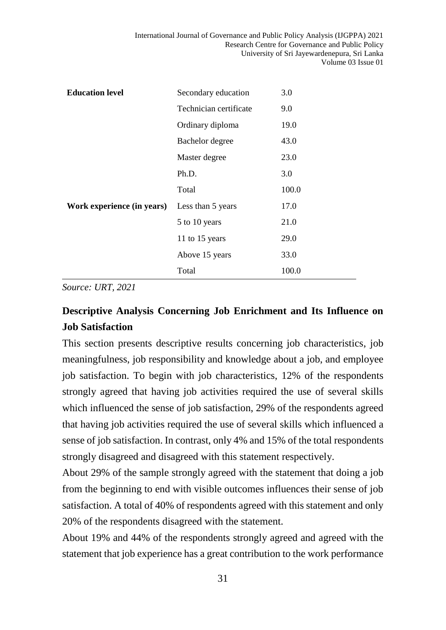| <b>Education level</b>     | Secondary education    | 3.0   |
|----------------------------|------------------------|-------|
|                            | Technician certificate | 9.0   |
|                            | Ordinary diploma       | 19.0  |
|                            | Bachelor degree        | 43.0  |
|                            | Master degree          | 23.0  |
|                            | Ph.D.                  | 3.0   |
|                            | Total                  | 100.0 |
| Work experience (in years) | Less than 5 years      | 17.0  |
|                            | 5 to 10 years          | 21.0  |
|                            | 11 to 15 years         | 29.0  |
|                            | Above 15 years         | 33.0  |
|                            | Total                  | 100.0 |

*Source: URT, 2021*

# **Descriptive Analysis Concerning Job Enrichment and Its Influence on Job Satisfaction**

This section presents descriptive results concerning job characteristics, job meaningfulness, job responsibility and knowledge about a job, and employee job satisfaction. To begin with job characteristics, 12% of the respondents strongly agreed that having job activities required the use of several skills which influenced the sense of job satisfaction, 29% of the respondents agreed that having job activities required the use of several skills which influenced a sense of job satisfaction. In contrast, only 4% and 15% of the total respondents strongly disagreed and disagreed with this statement respectively.

About 29% of the sample strongly agreed with the statement that doing a job from the beginning to end with visible outcomes influences their sense of job satisfaction. A total of 40% of respondents agreed with this statement and only 20% of the respondents disagreed with the statement.

About 19% and 44% of the respondents strongly agreed and agreed with the statement that job experience has a great contribution to the work performance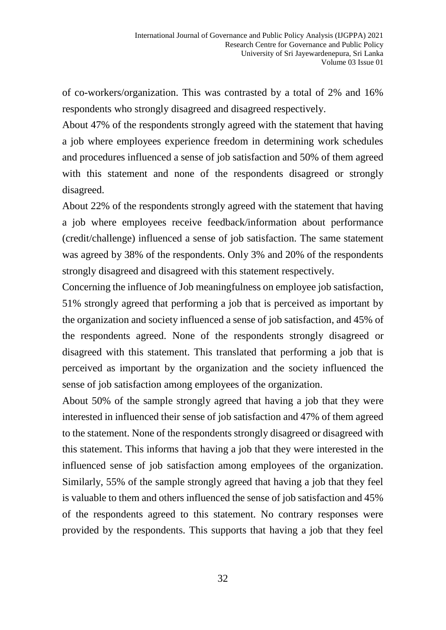of co-workers/organization. This was contrasted by a total of 2% and 16% respondents who strongly disagreed and disagreed respectively.

About 47% of the respondents strongly agreed with the statement that having a job where employees experience freedom in determining work schedules and procedures influenced a sense of job satisfaction and 50% of them agreed with this statement and none of the respondents disagreed or strongly disagreed.

About 22% of the respondents strongly agreed with the statement that having a job where employees receive feedback/information about performance (credit/challenge) influenced a sense of job satisfaction. The same statement was agreed by 38% of the respondents. Only 3% and 20% of the respondents strongly disagreed and disagreed with this statement respectively.

Concerning the influence of Job meaningfulness on employee job satisfaction, 51% strongly agreed that performing a job that is perceived as important by the organization and society influenced a sense of job satisfaction, and 45% of the respondents agreed. None of the respondents strongly disagreed or disagreed with this statement. This translated that performing a job that is perceived as important by the organization and the society influenced the sense of job satisfaction among employees of the organization.

About 50% of the sample strongly agreed that having a job that they were interested in influenced their sense of job satisfaction and 47% of them agreed to the statement. None of the respondents strongly disagreed or disagreed with this statement. This informs that having a job that they were interested in the influenced sense of job satisfaction among employees of the organization. Similarly, 55% of the sample strongly agreed that having a job that they feel is valuable to them and others influenced the sense of job satisfaction and 45% of the respondents agreed to this statement. No contrary responses were provided by the respondents. This supports that having a job that they feel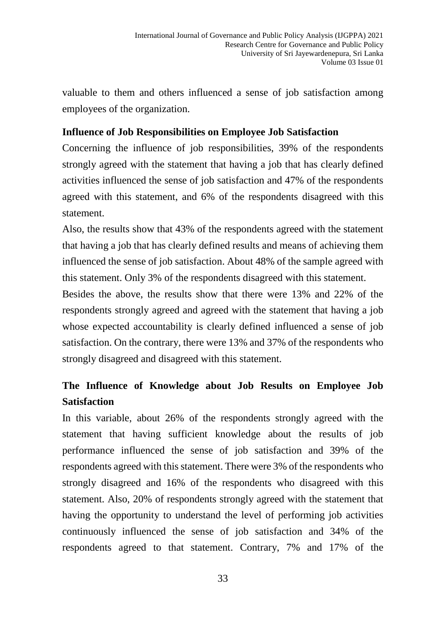valuable to them and others influenced a sense of job satisfaction among employees of the organization.

### **Influence of Job Responsibilities on Employee Job Satisfaction**

Concerning the influence of job responsibilities, 39% of the respondents strongly agreed with the statement that having a job that has clearly defined activities influenced the sense of job satisfaction and 47% of the respondents agreed with this statement, and 6% of the respondents disagreed with this statement.

Also, the results show that 43% of the respondents agreed with the statement that having a job that has clearly defined results and means of achieving them influenced the sense of job satisfaction. About 48% of the sample agreed with this statement. Only 3% of the respondents disagreed with this statement.

Besides the above, the results show that there were 13% and 22% of the respondents strongly agreed and agreed with the statement that having a job whose expected accountability is clearly defined influenced a sense of job satisfaction. On the contrary, there were 13% and 37% of the respondents who strongly disagreed and disagreed with this statement.

# **The Influence of Knowledge about Job Results on Employee Job Satisfaction**

In this variable, about 26% of the respondents strongly agreed with the statement that having sufficient knowledge about the results of job performance influenced the sense of job satisfaction and 39% of the respondents agreed with this statement. There were 3% of the respondents who strongly disagreed and 16% of the respondents who disagreed with this statement. Also, 20% of respondents strongly agreed with the statement that having the opportunity to understand the level of performing job activities continuously influenced the sense of job satisfaction and 34% of the respondents agreed to that statement. Contrary, 7% and 17% of the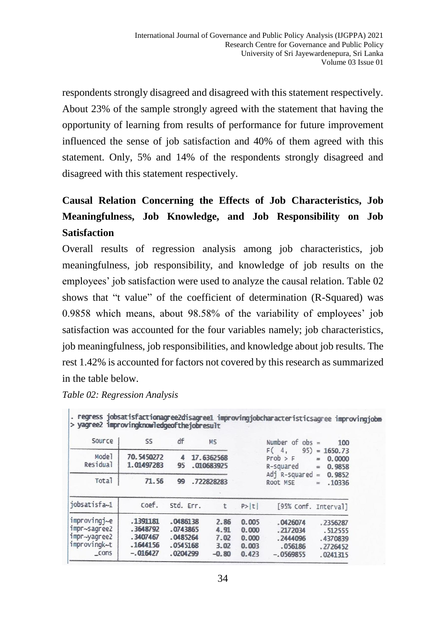respondents strongly disagreed and disagreed with this statement respectively. About 23% of the sample strongly agreed with the statement that having the opportunity of learning from results of performance for future improvement influenced the sense of job satisfaction and 40% of them agreed with this statement. Only, 5% and 14% of the respondents strongly disagreed and disagreed with this statement respectively.

# **Causal Relation Concerning the Effects of Job Characteristics, Job Meaningfulness, Job Knowledge, and Job Responsibility on Job Satisfaction**

Overall results of regression analysis among job characteristics, job meaningfulness, job responsibility, and knowledge of job results on the employees' job satisfaction were used to analyze the causal relation. Table 02 shows that "t value" of the coefficient of determination (R-Squared) was 0.9858 which means, about 98.58% of the variability of employees' job satisfaction was accounted for the four variables namely; job characteristics, job meaningfulness, job responsibilities, and knowledge about job results. The rest 1.42% is accounted for factors not covered by this research as summarized in the table below.

| Source                               | SS.                      | df        | M <sub>S</sub> |                          |        | Number of $obs =$                                  | 100                             |
|--------------------------------------|--------------------------|-----------|----------------|--------------------------|--------|----------------------------------------------------|---------------------------------|
| Mode <sub>1</sub><br><b>Residual</b> | 70.5450272<br>1.01497283 | 4<br>95   |                | 17.6362568<br>.010683925 |        | 95)<br>F(4,<br>Prob > F<br>$=$<br>R-squared<br>$=$ | $= 1650.73$<br>0.0000<br>0.9858 |
| Total                                | 71.56                    | 99        |                | .722828283               |        | Adj R-squared =<br>Root MSE                        | 0.9852<br>.10336<br>$\equiv$    |
| jobsatisfa~1                         | coef.                    | Std. Err. |                | t                        | P >  t | [95% Conf. Interval]                               |                                 |
| improvingi~e                         | .1391181                 | .0486138  |                | 2.86                     | 0.005  | .0426074                                           | .2356287                        |
| impr~sagree2                         | .3648792                 | .0743865  |                | 4.91                     | 0.000  | .2172034                                           | .512555                         |
| impr~yagree2                         | .3407467                 | .0485264  |                | 7.02                     | 0.000  | .2444096                                           | .4370839                        |
| improvingk~t                         | .1644156                 | .0545168  |                | 3.02                     | 0.003  | .056186                                            | .2726452                        |
| cons                                 | $-.016427$               | .0204299  |                | $-0.80$                  | 0.423  | $-.0569855$                                        | .0241315                        |

*Table 02: Regression Analysis*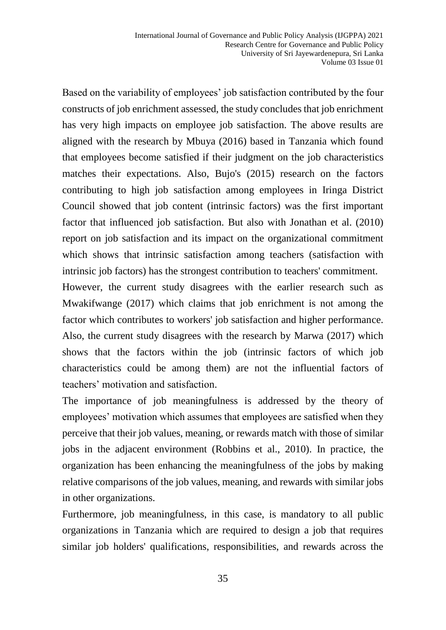Based on the variability of employees' job satisfaction contributed by the four constructs of job enrichment assessed, the study concludes that job enrichment has very high impacts on employee job satisfaction. The above results are aligned with the research by Mbuya (2016) based in Tanzania which found that employees become satisfied if their judgment on the job characteristics matches their expectations. Also, Bujo's (2015) research on the factors contributing to high job satisfaction among employees in Iringa District Council showed that job content (intrinsic factors) was the first important factor that influenced job satisfaction. But also with Jonathan et al. (2010) report on job satisfaction and its impact on the organizational commitment which shows that intrinsic satisfaction among teachers (satisfaction with intrinsic job factors) has the strongest contribution to teachers' commitment.

However, the current study disagrees with the earlier research such as Mwakifwange (2017) which claims that job enrichment is not among the factor which contributes to workers' job satisfaction and higher performance. Also, the current study disagrees with the research by Marwa (2017) which shows that the factors within the job (intrinsic factors of which job characteristics could be among them) are not the influential factors of teachers' motivation and satisfaction.

The importance of job meaningfulness is addressed by the theory of employees' motivation which assumes that employees are satisfied when they perceive that their job values, meaning, or rewards match with those of similar jobs in the adjacent environment (Robbins et al., 2010). In practice, the organization has been enhancing the meaningfulness of the jobs by making relative comparisons of the job values, meaning, and rewards with similar jobs in other organizations.

Furthermore, job meaningfulness, in this case, is mandatory to all public organizations in Tanzania which are required to design a job that requires similar job holders' qualifications, responsibilities, and rewards across the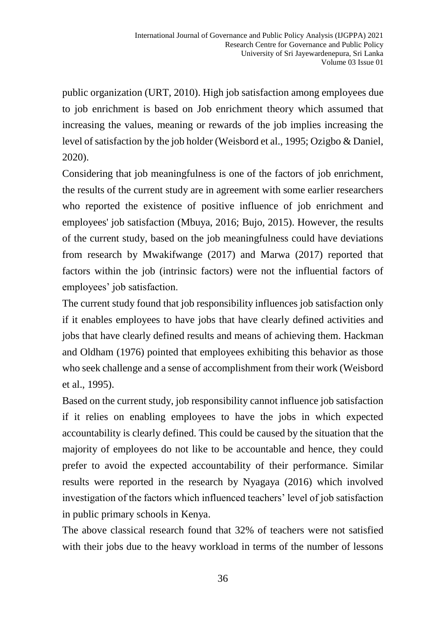public organization (URT, 2010). High job satisfaction among employees due to job enrichment is based on Job enrichment theory which assumed that increasing the values, meaning or rewards of the job implies increasing the level of satisfaction by the job holder (Weisbord et al., 1995; Ozigbo & Daniel, 2020).

Considering that job meaningfulness is one of the factors of job enrichment, the results of the current study are in agreement with some earlier researchers who reported the existence of positive influence of job enrichment and employees' job satisfaction (Mbuya, 2016; Bujo, 2015). However, the results of the current study, based on the job meaningfulness could have deviations from research by Mwakifwange (2017) and Marwa (2017) reported that factors within the job (intrinsic factors) were not the influential factors of employees' job satisfaction.

The current study found that job responsibility influences job satisfaction only if it enables employees to have jobs that have clearly defined activities and jobs that have clearly defined results and means of achieving them. Hackman and Oldham (1976) pointed that employees exhibiting this behavior as those who seek challenge and a sense of accomplishment from their work (Weisbord et al., 1995).

Based on the current study, job responsibility cannot influence job satisfaction if it relies on enabling employees to have the jobs in which expected accountability is clearly defined. This could be caused by the situation that the majority of employees do not like to be accountable and hence, they could prefer to avoid the expected accountability of their performance. Similar results were reported in the research by Nyagaya (2016) which involved investigation of the factors which influenced teachers' level of job satisfaction in public primary schools in Kenya.

The above classical research found that 32% of teachers were not satisfied with their jobs due to the heavy workload in terms of the number of lessons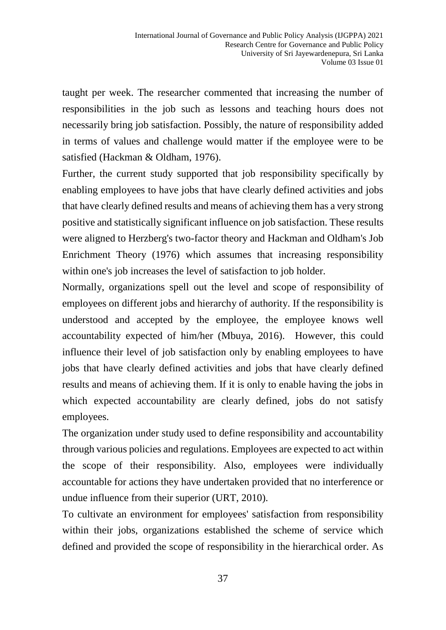taught per week. The researcher commented that increasing the number of responsibilities in the job such as lessons and teaching hours does not necessarily bring job satisfaction. Possibly, the nature of responsibility added in terms of values and challenge would matter if the employee were to be satisfied (Hackman & Oldham, 1976).

Further, the current study supported that job responsibility specifically by enabling employees to have jobs that have clearly defined activities and jobs that have clearly defined results and means of achieving them has a very strong positive and statistically significant influence on job satisfaction. These results were aligned to Herzberg's two-factor theory and Hackman and Oldham's Job Enrichment Theory (1976) which assumes that increasing responsibility within one's job increases the level of satisfaction to job holder.

Normally, organizations spell out the level and scope of responsibility of employees on different jobs and hierarchy of authority. If the responsibility is understood and accepted by the employee, the employee knows well accountability expected of him/her (Mbuya, 2016). However, this could influence their level of job satisfaction only by enabling employees to have jobs that have clearly defined activities and jobs that have clearly defined results and means of achieving them. If it is only to enable having the jobs in which expected accountability are clearly defined, jobs do not satisfy employees.

The organization under study used to define responsibility and accountability through various policies and regulations. Employees are expected to act within the scope of their responsibility. Also, employees were individually accountable for actions they have undertaken provided that no interference or undue influence from their superior (URT, 2010).

To cultivate an environment for employees' satisfaction from responsibility within their jobs, organizations established the scheme of service which defined and provided the scope of responsibility in the hierarchical order. As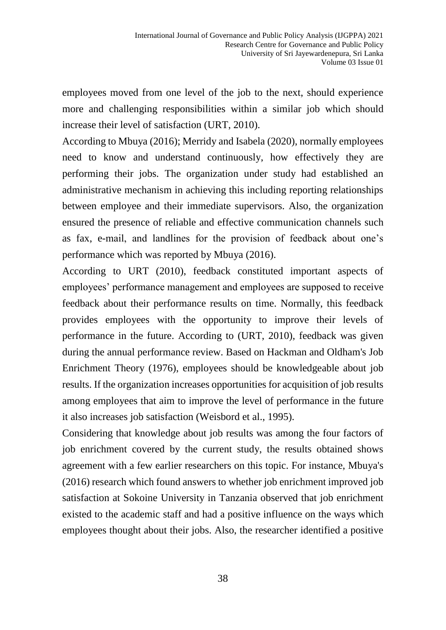employees moved from one level of the job to the next, should experience more and challenging responsibilities within a similar job which should increase their level of satisfaction (URT, 2010).

According to Mbuya (2016); Merridy and Isabela (2020), normally employees need to know and understand continuously, how effectively they are performing their jobs. The organization under study had established an administrative mechanism in achieving this including reporting relationships between employee and their immediate supervisors. Also, the organization ensured the presence of reliable and effective communication channels such as fax, e-mail, and landlines for the provision of feedback about one's performance which was reported by Mbuya (2016).

According to URT (2010), feedback constituted important aspects of employees' performance management and employees are supposed to receive feedback about their performance results on time. Normally, this feedback provides employees with the opportunity to improve their levels of performance in the future. According to (URT, 2010), feedback was given during the annual performance review. Based on Hackman and Oldham's Job Enrichment Theory (1976), employees should be knowledgeable about job results. If the organization increases opportunities for acquisition of job results among employees that aim to improve the level of performance in the future it also increases job satisfaction (Weisbord et al., 1995).

Considering that knowledge about job results was among the four factors of job enrichment covered by the current study, the results obtained shows agreement with a few earlier researchers on this topic. For instance, Mbuya's (2016) research which found answers to whether job enrichment improved job satisfaction at Sokoine University in Tanzania observed that job enrichment existed to the academic staff and had a positive influence on the ways which employees thought about their jobs. Also, the researcher identified a positive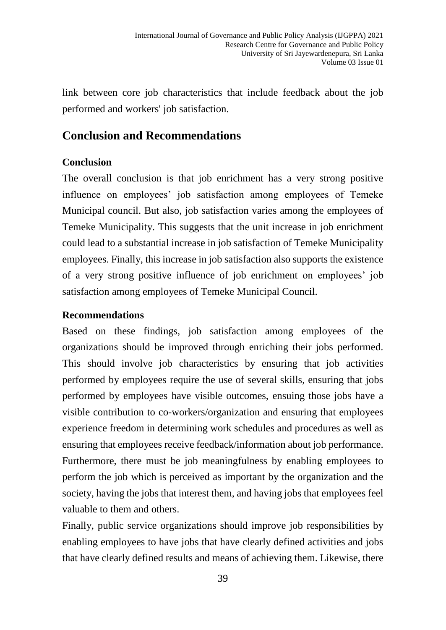link between core job characteristics that include feedback about the job performed and workers' job satisfaction.

# **Conclusion and Recommendations**

### **Conclusion**

The overall conclusion is that job enrichment has a very strong positive influence on employees' job satisfaction among employees of Temeke Municipal council. But also, job satisfaction varies among the employees of Temeke Municipality. This suggests that the unit increase in job enrichment could lead to a substantial increase in job satisfaction of Temeke Municipality employees. Finally, this increase in job satisfaction also supports the existence of a very strong positive influence of job enrichment on employees' job satisfaction among employees of Temeke Municipal Council.

### **Recommendations**

Based on these findings, job satisfaction among employees of the organizations should be improved through enriching their jobs performed. This should involve job characteristics by ensuring that job activities performed by employees require the use of several skills, ensuring that jobs performed by employees have visible outcomes, ensuing those jobs have a visible contribution to co-workers/organization and ensuring that employees experience freedom in determining work schedules and procedures as well as ensuring that employees receive feedback/information about job performance. Furthermore, there must be job meaningfulness by enabling employees to perform the job which is perceived as important by the organization and the society, having the jobs that interest them, and having jobs that employees feel valuable to them and others.

Finally, public service organizations should improve job responsibilities by enabling employees to have jobs that have clearly defined activities and jobs that have clearly defined results and means of achieving them. Likewise, there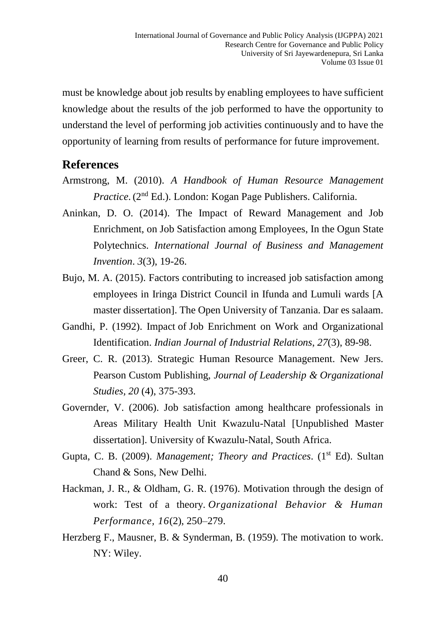must be knowledge about job results by enabling employees to have sufficient knowledge about the results of the job performed to have the opportunity to understand the level of performing job activities continuously and to have the opportunity of learning from results of performance for future improvement.

### **References**

- Armstrong, M. (2010). *A Handbook of Human Resource Management Practice*. (2<sup>nd</sup> Ed.). London: Kogan Page Publishers. California.
- Aninkan, D. O. (2014). The Impact of Reward Management and Job Enrichment, on Job Satisfaction among Employees, In the Ogun State Polytechnics. *International Journal of Business and Management Invention*. *3*(3), 19-26.
- Bujo, M. A. (2015). Factors contributing to increased job satisfaction among employees in Iringa District Council in Ifunda and Lumuli wards [A master dissertation]. The Open University of Tanzania. Dar es salaam.
- Gandhi, P. (1992). Impact of Job Enrichment on Work and Organizational Identification. *Indian Journal of Industrial Relations*, *27*(3), 89-98.
- Greer, C. R. (2013). Strategic Human Resource Management. New Jers. Pearson Custom Publishing, *Journal of Leadership & Organizational Studies, 20* (4), 375-393.
- Governder, V. (2006). Job satisfaction among healthcare professionals in Areas Military Health Unit Kwazulu-Natal [Unpublished Master dissertation]. University of Kwazulu-Natal, South Africa.
- Gupta, C. B. (2009). *Management; Theory and Practices.* (1<sup>st</sup> Ed). Sultan Chand & Sons, New Delhi.
- Hackman, J. R., & Oldham, G. R. (1976). Motivation through the design of work: Test of a theory. *Organizational Behavior & Human Performance, 16*(2), 250–279.
- Herzberg F., Mausner, B. & Synderman, B. (1959). The motivation to work. NY: Wiley.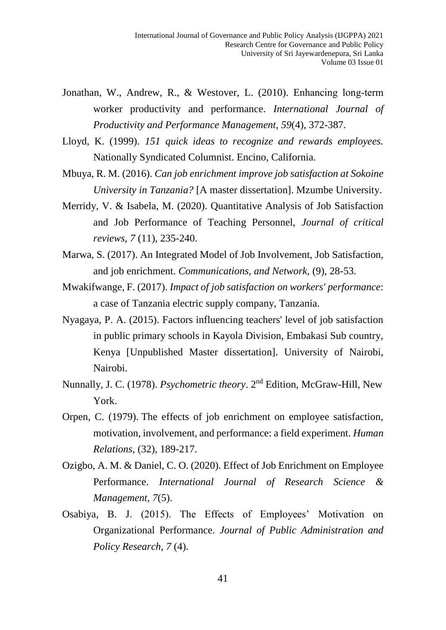- [Jonathan, W](https://www.researchgate.net/profile/Jonathan-Westover?_sg=Ee3LWif-B0DwjWzHPo6b2njqwBnvRyKqlI9nf2iFRbQnFFLDOHin5rYuv3YVDbfg1C8J4Ws.MvEAhfFMuyeJcsAwzyaO4cCwJ6eunAXLozaQEdQwqVcOH5LAKnxhgdAoTZDVQYEv4tVkpvjLwpZTolNKx21fJg)[., Andrew, R., & Westover,](https://www.researchgate.net/scientific-contributions/Andrew-R-Westover-53639811?_sg=Ee3LWif-B0DwjWzHPo6b2njqwBnvRyKqlI9nf2iFRbQnFFLDOHin5rYuv3YVDbfg1C8J4Ws.MvEAhfFMuyeJcsAwzyaO4cCwJ6eunAXLozaQEdQwqVcOH5LAKnxhgdAoTZDVQYEv4tVkpvjLwpZTolNKx21fJg) L. (2010). [Enhancing long‐term](https://www.researchgate.net/publication/277509508_Enhancing_long-term_worker_productivity_and_performance?_sg%5B0%5D=0UaG8u3xoyDiKaLjcwicPTWVLLqu60_ESnBTYeRV4rDYpdTVrnsxMwnEs6fnm6KzcYS4SEYKMfuco6A.MiQMrMIJiMpSFTZFihFTcXzhgXqD7ntdJwAPH78rgfkR7mRPjqo-l6GHRd0B7tyc4emlttjMGvETHKyho9FbQA&_sg%5B1%5D=CDH07Oz7tmZ4TbseDasLkq92iRDTqmrjVkR1JdJR5Ou9Lqkt1eAt9S8Imwcpo7m7VXDCFNPsSq0hdcd5Sysre2Esn5A.MiQMrMIJiMpSFTZFihFTcXzhgXqD7ntdJwAPH78rgfkR7mRPjqo-l6GHRd0B7tyc4emlttjMGvETHKyho9FbQA&_sg%5B2%5D=_ezrjUs0ZOwr4qQrPQRO_Lr-6zAr5Ed_EZxJrNjm1vTzIOf154kQNLlJJBJqoHn5wjthw7qPIc5mge6AGA.MiQMrMIJiMpSFTZFihFTcXzhgXqD7ntdJwAPH78rgfkR7mRPjqo-l6GHRd0B7tyc4emlttjMGvETHKyho9FbQA&_sgd%5Bpr%5D=1) [worker productivity and performance.](https://www.researchgate.net/publication/277509508_Enhancing_long-term_worker_productivity_and_performance?_sg%5B0%5D=0UaG8u3xoyDiKaLjcwicPTWVLLqu60_ESnBTYeRV4rDYpdTVrnsxMwnEs6fnm6KzcYS4SEYKMfuco6A.MiQMrMIJiMpSFTZFihFTcXzhgXqD7ntdJwAPH78rgfkR7mRPjqo-l6GHRd0B7tyc4emlttjMGvETHKyho9FbQA&_sg%5B1%5D=CDH07Oz7tmZ4TbseDasLkq92iRDTqmrjVkR1JdJR5Ou9Lqkt1eAt9S8Imwcpo7m7VXDCFNPsSq0hdcd5Sysre2Esn5A.MiQMrMIJiMpSFTZFihFTcXzhgXqD7ntdJwAPH78rgfkR7mRPjqo-l6GHRd0B7tyc4emlttjMGvETHKyho9FbQA&_sg%5B2%5D=_ezrjUs0ZOwr4qQrPQRO_Lr-6zAr5Ed_EZxJrNjm1vTzIOf154kQNLlJJBJqoHn5wjthw7qPIc5mge6AGA.MiQMrMIJiMpSFTZFihFTcXzhgXqD7ntdJwAPH78rgfkR7mRPjqo-l6GHRd0B7tyc4emlttjMGvETHKyho9FbQA&_sgd%5Bpr%5D=1) *International Journal of Productivity and Performance Management, 59*(4), 372-387.
- Lloyd, K. (1999). *151 quick ideas to recognize and rewards employees.* Nationally Syndicated Columnist. Encino, California.
- Mbuya, R. M. (2016). *Can job enrichment improve job satisfaction at Sokoine University in Tanzania?* [A master dissertation]. Mzumbe University.
- Merridy, V. & Isabela, M. (2020). Quantitative Analysis of Job Satisfaction and Job Performance of Teaching Personnel, *Journal of critical reviews, 7* (11), 235-240.
- Marwa, S. (2017). An Integrated Model of Job Involvement, Job Satisfaction, and job enrichment. *Communications, and Network*, (9), 28-53.
- Mwakifwange, F. (2017). *Impact of job satisfaction on workers' performance*: a case of Tanzania electric supply company, Tanzania.
- Nyagaya, P. A. (2015). Factors influencing teachers' level of job satisfaction in public primary schools in Kayola Division, Embakasi Sub country, Kenya [Unpublished Master dissertation]. University of Nairobi, Nairobi.
- Nunnally, J. C. (1978). *Psychometric theory*. 2nd Edition, McGraw-Hill, New York.
- Orpen, C. (1979). The effects of job enrichment on employee satisfaction, motivation, involvement, and performance: a field experiment. *Human Relations*, (32), 189-217.
- Ozigbo, A. M. & Daniel, C. O. (2020). Effect of Job Enrichment on Employee Performance. *International Journal of Research Science & Management, 7*(5).
- Osabiya, B. J. (2015). The Effects of Employees' Motivation on Organizational Performance. *Journal of Public Administration and Policy Research*, *7* (4).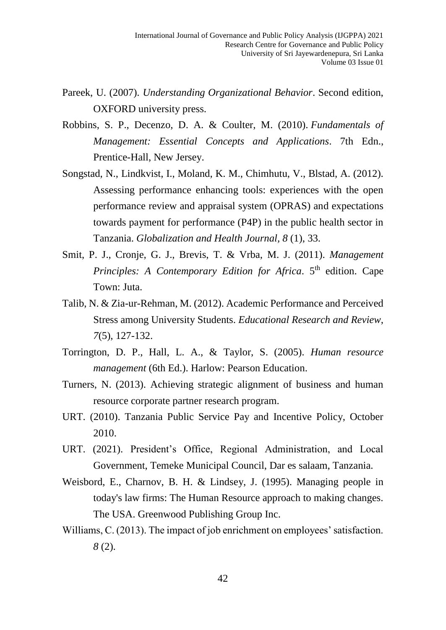- Pareek, U. (2007). *Understanding Organizational Behavior*. Second edition, OXFORD university press.
- Robbins, S. P., Decenzo, D. A. & Coulter, M. (2010). *Fundamentals of Management: Essential Concepts and Applications*. 7th Edn., Prentice-Hall, New Jersey.
- Songstad, N., Lindkvist, I., Moland, K. M., Chimhutu, V., Blstad, A. (2012). Assessing performance enhancing tools: experiences with the open performance review and appraisal system (OPRAS) and expectations towards payment for performance (P4P) in the public health sector in Tanzania. *Globalization and Health Journal, 8* (1), 33.
- Smit, P. J., Cronje, G. J., Brevis, T. & Vrba, M. J. (2011). *Management Principles: A Contemporary Edition for Africa.* 5<sup>th</sup> edition. Cape Town: Juta.
- Talib, N. & Zia-ur-Rehman, M. (2012). Academic Performance and Perceived Stress among University Students. *Educational Research and Review*, *7*(5), 127-132.
- Torrington, D. P., Hall, L. A., & Taylor, S. (2005). *Human resource management* (6th Ed.). Harlow: Pearson Education.
- Turners, N. (2013). Achieving strategic alignment of business and human resource corporate partner research program.
- URT. (2010). Tanzania Public Service Pay and Incentive Policy, October 2010.
- URT. (2021). President's Office, Regional Administration, and Local Government, Temeke Municipal Council, Dar es salaam, Tanzania.
- Weisbord, E., Charnov, B. H. & Lindsey, J. (1995). Managing people in today's law firms: The Human Resource approach to making changes. The USA. Greenwood Publishing Group Inc.
- Williams, C. (2013). The impact of job enrichment on employees' satisfaction. *8* (2).